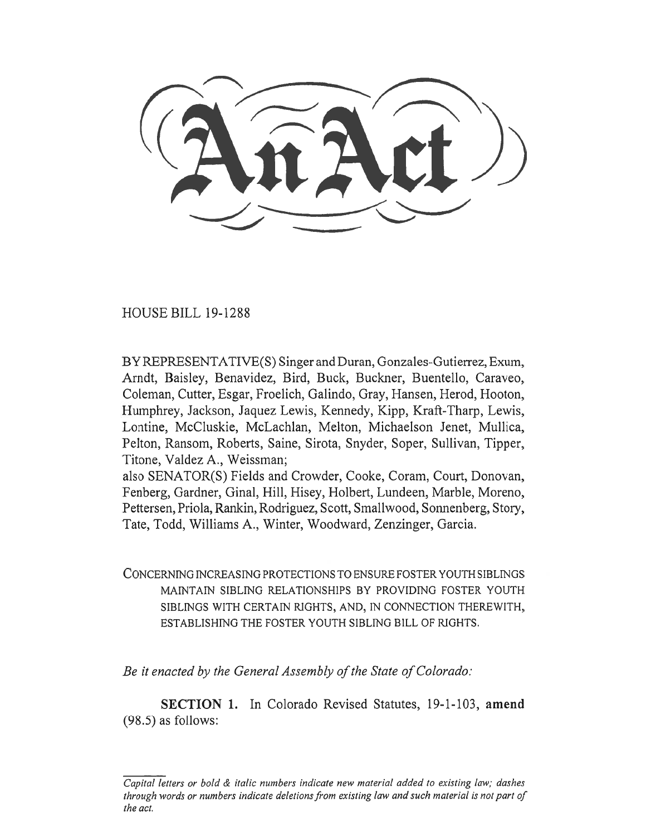HOUSE BILL 19-1288

BY REPRESENTATIVE(S) Singer and Duran, Gonzales-Gutierrez, Exum, Arndt, Baisley, Benavidez, Bird, Buck, Buckner, Buentello, Caraveo, Coleman, Cutter, Esgar, Froelich, Galindo, Gray, Hansen, Herod, Hooton, Humphrey, Jackson, Jaquez Lewis, Kennedy, Kipp, Kraft-Tharp, Lewis, Lontine, McCluskie, McLachlan, Melton, Michaelson Jenet, Mullica, Pelton, Ransom, Roberts, Saine, Sirota, Snyder, Soper, Sullivan, Tipper, Titone, Valdez A., Weissman;

also SENATOR(S) Fields and Crowder, Cooke, Coram, Court, Donovan, Fenberg, Gardner, Ginal, Hill, Hisey, Holbert, Lundeen, Marble, Moreno, Pettersen, Priola, Rankin, Rodriguez, Scott, Smallwood, Sonnenberg, Story, Tate, Todd, Williams A., Winter, Woodward, Zenzinger, Garcia.

CONCERNING INCREASING PROTECTIONS TO ENSURE FOSTER YOUTH SIBLINGS MAINTAIN SIBLING RELATIONSHIPS BY PROVIDING FOSTER YOUTH SIBLINGS WITH CERTAIN RIGHTS, AND, IN CONNECTION THEREWITH, ESTABLISHING THE FOSTER YOUTH SIBLING BILL OF RIGHTS.

*Be it enacted by the General Assembly of the State of Colorado:* 

**SECTION 1.** In Colorado Revised Statutes, 19-1-103, **amend**  (98.5) as follows:

*Capital letters or bold & italic numbers indicate new material added to existing law; dashes through words or numbers indicate deletions from existing law and such material is not part of the act.*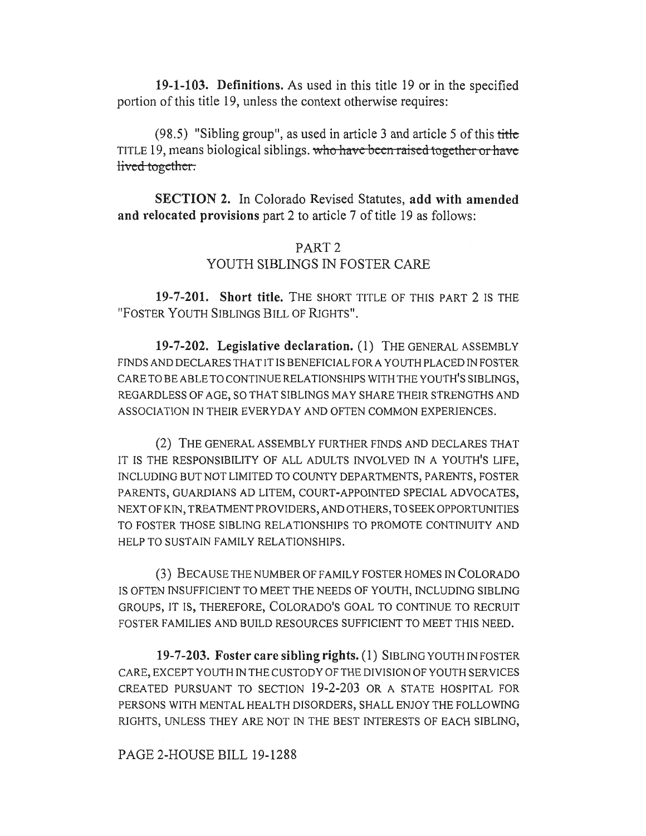**19-1-103. Definitions.** As used in this title 19 or in the specified portion of this title 19, unless the context otherwise requires:

 $(98.5)$  "Sibling group", as used in article 3 and article 5 of this title TITLE 19, means biological siblings. who have been raised together or have lived together.

**SECTION 2.** In Colorado Revised Statutes, **add with amended and relocated provisions** part 2 to article 7 of title 19 as follows:

## PART 2 YOUTH SIBLINGS IN FOSTER CARE

**19-7-201. Short title.** THE SHORT TITLE OF THIS PART 2 IS THE "FOSTER YOUTH SIBLINGS BILL OF RIGHTS".

**19-7-202. Legislative declaration.** (1) THE GENERAL ASSEMBLY FINDS AND DECLARES THAT IT IS BENEFICIAL FOR A YOUTH PLACED IN FOSTER CARE TO BE ABLE TO CONTINUE RELATIONSHIPS WITH THE YOUTH'S SIBLINGS, REGARDLESS OF AGE, SO THAT SIBLINGS MAY SHARE THEIR STRENGTHS AND ASSOCIATION IN THEIR EVERYDAY AND OFTEN COMMON EXPERIENCES.

(2) THE GENERAL ASSEMBLY FURTHER FINDS AND DECLARES THAT IT IS THE RESPONSIBILITY OF ALL ADULTS INVOLVED IN A YOUTH'S LIFE, INCLUDING BUT NOT LIMITED TO COUNTY DEPARTMENTS, PARENTS, FOSTER PARENTS, GUARDIANS AD LITEM, COURT-APPOINTED SPECIAL ADVOCATES, NEXT OF KIN, TREATMENT PROVIDERS, AND OTHERS, TO SEEK OPPORTUNITIES TO FOSTER THOSE SIBLING RELATIONSHIPS TO PROMOTE CONTINUITY AND HELP TO SUSTAIN FAMILY RELATIONSHIPS.

(3) BECAUSE THE NUMBER OF FAMILY FOSTER HOMES IN COLORADO IS OFTEN INSUFFICIENT TO MEET THE NEEDS OF YOUTH, INCLUDING SIBLING GROUPS, IT IS, THEREFORE, COLORADO'S GOAL TO CONTINUE TO RECRUIT FOSTER FAMILIES AND BUILD RESOURCES SUFFICIENT TO MEET THIS NEED.

**19-7-203. Foster care sibling rights.** (1) SIBLING YOUTH IN FOSTER CARE, EXCEPT YOUTH IN THE CUSTODY OF THE DIVISION OF YOUTH SERVICES CREATED PURSUANT TO SECTION 19-2-203 OR A STATE HOSPITAL FOR PERSONS WITH MENTAL HEALTH DISORDERS, SHALL ENJOY THE FOLLOWING RIGHTS, UNLESS THEY ARE NOT IN THE BEST INTERESTS OF EACH SIBLING,

## PAGE 2-HOUSE BILL 19-1288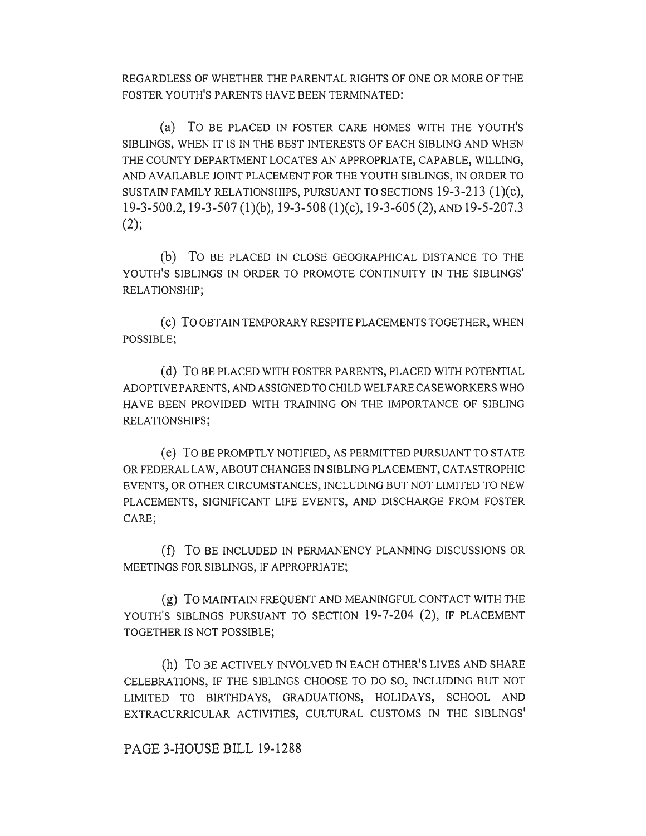REGARDLESS OF WHETHER THE PARENTAL RIGHTS OF ONE OR MORE OF THE FOSTER YOUTH'S PARENTS HAVE BEEN TERMINATED:

(a) To BE PLACED IN FOSTER CARE HOMES WITH THE YOUTH'S SIBLINGS, WHEN IT IS IN THE BEST INTERESTS OF EACH SIBLING AND WHEN THE COUNTY DEPARTMENT LOCATES AN APPROPRIATE, CAPABLE, WILLING, AND AVAILABLE JOINT PLACEMENT FOR THE YOUTH SIBLINGS, IN ORDER TO SUSTAIN FAMILY RELATIONSHIPS, PURSUANT TO SECTIONS 19-3-213 (1)(c), 19-3-500.2,19-3-507 (1)(b), 19-3-508 (1)(c), 19-3-605 (2), AND 19-5-207.3  $(2)$ ;

(b) To BE PLACED IN CLOSE GEOGRAPHICAL DISTANCE TO THE YOUTH'S SIBLINGS IN ORDER TO PROMOTE CONTINUITY IN THE SIBLINGS' RELATIONSHIP;

(c) To OBTAIN TEMPORARY RESPITE PLACEMENTS TOGETHER, WHEN POSSIBLE;

(d) To BE PLACED WITH FOSTER PARENTS, PLACED WITH POTENTIAL ADOPTIVE PARENTS, AND ASSIGNED TO CHILD WELFARE CASEWORKERS WHO HAVE BEEN PROVIDED WITH TRAINING ON THE IMPORTANCE OF SIBLING RELATIONSHIPS;

(e) To BE PROMPTLY NOTIFIED, AS PERMITTED PURSUANT TO STATE OR FEDERAL LAW, ABOUT CHANGES IN SIBLING PLACEMENT, CATASTROPHIC EVENTS, OR OTHER CIRCUMSTANCES, INCLUDING BUT NOT LIMITED TO NEW PLACEMENTS, SIGNIFICANT LIFE EVENTS, AND DISCHARGE FROM FOSTER CARE;

(f) To BE INCLUDED IN PERMANENCY PLANNING DISCUSSIONS OR MEETINGS FOR SIBLINGS, IF APPROPRIATE;

(g) To MAINTAIN FREQUENT AND MEANINGFUL CONTACT WITH THE YOUTH'S SIBLINGS PURSUANT TO SECTION 19-7-204 (2), IF PLACEMENT TOGETHER IS NOT POSSIBLE;

(h) To BE ACTIVELY INVOLVED IN EACH OTHER'S LIVES AND SHARE CELEBRATIONS, IF THE SIBLINGS CHOOSE TO DO SO, INCLUDING BUT NOT LIMITED TO BIRTHDAYS, GRADUATIONS, HOLIDAYS, SCHOOL AND EXTRACURRICULAR ACTIVITIES, CULTURAL CUSTOMS IN THE SIBLINGS'

PAGE 3-HOUSE BILL 19-1288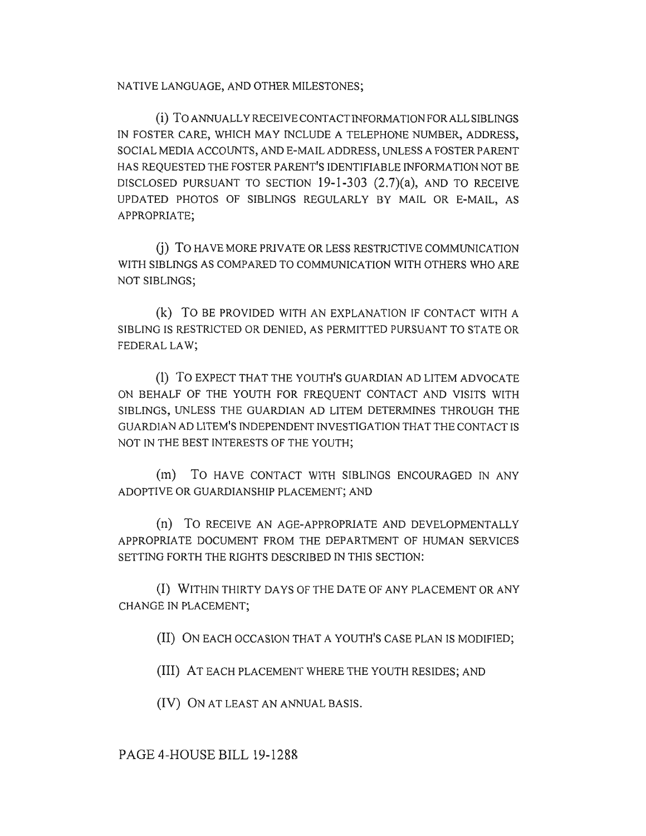NATIVE LANGUAGE, AND OTHER MILESTONES;

(i) To ANNUALLY RECEIVE CONTACT INFORMATION FOR ALL SIBLINGS IN FOSTER CARE, WHICH MAY INCLUDE A TELEPHONE NUMBER, ADDRESS, SOCIAL MEDIA ACCOUNTS, AND E-MAIL ADDRESS, UNLESS A FOSTER PARENT HAS REQUESTED THE FOSTER PARENT'S IDENTIFIABLE INFORMATION NOT BE DISCLOSED PURSUANT TO SECTION  $19-1-303$   $(2.7)(a)$ , and to receive UPDATED PHOTOS OF SIBLINGS REGULARLY BY MAIL OR E-MAIL, AS APPROPRIATE;

(j) To HAVE MORE PRIVATE OR LESS RESTRICTIVE COMMUNICATION WITH SIBLINGS AS COMPARED TO COMMUNICATION WITH OTHERS WHO ARE NOT SIBLINGS;

(k) To BE PROVIDED WITH AN EXPLANATION IF CONTACT WITH A SIBLING IS RESTRICTED OR DENIED, AS PERMITTED PURSUANT TO STATE OR FEDERAL LAW;

(1) To EXPECT **THAT THE YOUTH'S GUARDIAN AD LITEM** ADVOCATE ON BEHALF OF THE YOUTH FOR FREQUENT CONTACT AND VISITS WITH SIBLINGS, UNLESS THE GUARDIAN AD LITEM DETERMINES THROUGH THE GUARDIAN AD LITEM'S INDEPENDENT INVESTIGATION THAT THE CONTACT IS NOT IN THE BEST INTERESTS OF THE YOUTH;

(m) To HAVE CONTACT WITH SIBLINGS ENCOURAGED IN ANY ADOPTIVE OR GUARDIANSHIP PLACEMENT; AND

(n) To RECEIVE AN AGE-APPROPRIATE AND DEVELOPMENTALLY APPROPRIATE DOCUMENT FROM THE DEPARTMENT OF HUMAN SERVICES SETTING FORTH THE RIGHTS DESCRIBED IN THIS SECTION:

(I) WITHIN THIRTY DAYS OF THE DATE OF ANY PLACEMENT OR ANY CHANGE IN PLACEMENT;

(II) ON EACH OCCASION THAT A YOUTH'S CASE PLAN IS MODIFIED;

(III) AT EACH PLACEMENT WHERE THE YOUTH RESIDES; AND

(IV) ON AT LEAST AN ANNUAL BASIS.

PAGE 4-HOUSE BILL 19-1288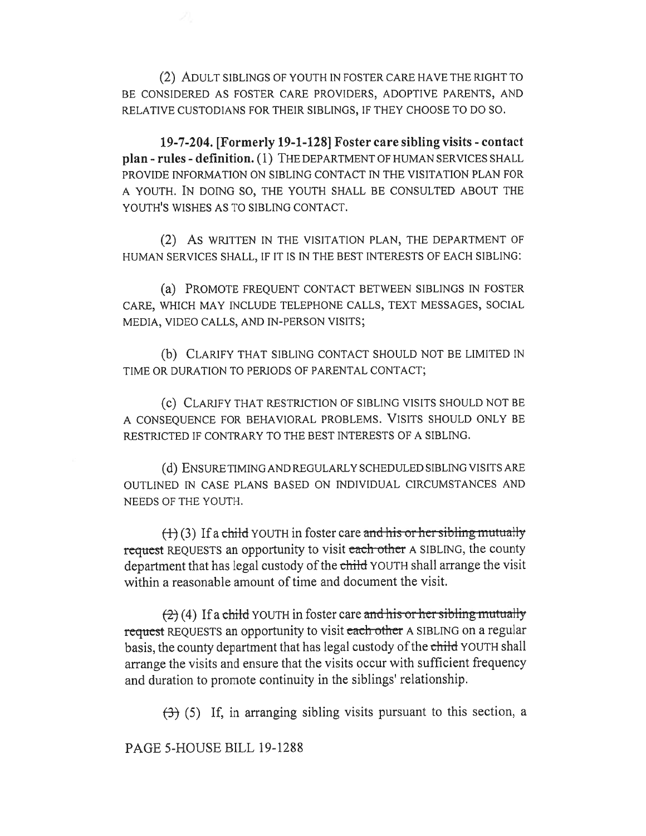(2) ADULT SIBLINGS OF YOUTH IN FOSTER CARE HAVE THE RIGHT TO BE CONSIDERED AS FOSTER CARE PROVIDERS, ADOPTIVE PARENTS, AND RELATIVE CUSTODIANS FOR THEIR SIBLINGS, IF THEY CHOOSE TO DO SO.

**19-7-204. [Formerly 19-1-128] Foster care sibling visits - contact plan - rules - definition. (1)** THE DEPARTMENT OF HUMAN SERVICES SHALL PROVIDE INFORMATION ON SIBLING CONTACT IN THE VISITATION PLAN FOR A YOUTH. IN DOING SO, THE YOUTH SHALL BE CONSULTED ABOUT THE YOUTH'S WISHES AS TO SIBLING CONTACT.

(2) As WRITTEN IN THE VISITATION PLAN, THE DEPARTMENT OF HUMAN SERVICES SHALL, IF IT IS IN THE BEST INTERESTS OF EACH SIBLING:

(a) PROMOTE FREQUENT CONTACT BETWEEN SIBLINGS IN FOSTER CARE, WHICH MAY INCLUDE TELEPHONE CALLS, TEXT MESSAGES, SOCIAL MEDIA, VIDEO CALLS, AND IN-PERSON VISITS;

(b) CLARIFY THAT SIBLING CONTACT SHOULD NOT BE LIMITED IN TIME OR DURATION TO PERIODS OF PARENTAL CONTACT;

(c) CLARIFY THAT RESTRICTION OF SIBLING VISITS SHOULD NOT BE A CONSEQUENCE FOR BEHAVIORAL PROBLEMS. VISITS SHOULD ONLY BE RESTRICTED IF CONTRARY TO THE BEST INTERESTS OF A SIBLING.

(d) ENSURE TIMING AND REGULARLY SCHEDULED SIBLING VISITS ARE OUTLINED IN CASE PLANS BASED ON INDIVIDUAL CIRCUMSTANCES AND NEEDS OF THE YOUTH.

 $(1)$  (3) If a child YOUTH in foster care and his or her sibling mutually request REQUESTS an opportunity to visit each other A SIBLING, the county department that has legal custody of the child YOUTH shall arrange the visit within a reasonable amount of time and document the visit.

 $(2)$  (4) If a child YOUTH in foster care and his or her sibling mutually request REQUESTS an opportunity to visit each other A SIBLING on a regular basis, the county department that has legal custody of the child YOUTH shall arrange the visits and ensure that the visits occur with sufficient frequency and duration to promote continuity in the siblings' relationship.

 $(3)$  (5) If, in arranging sibling visits pursuant to this section, a

PAGE 5-HOUSE BILL 19-1288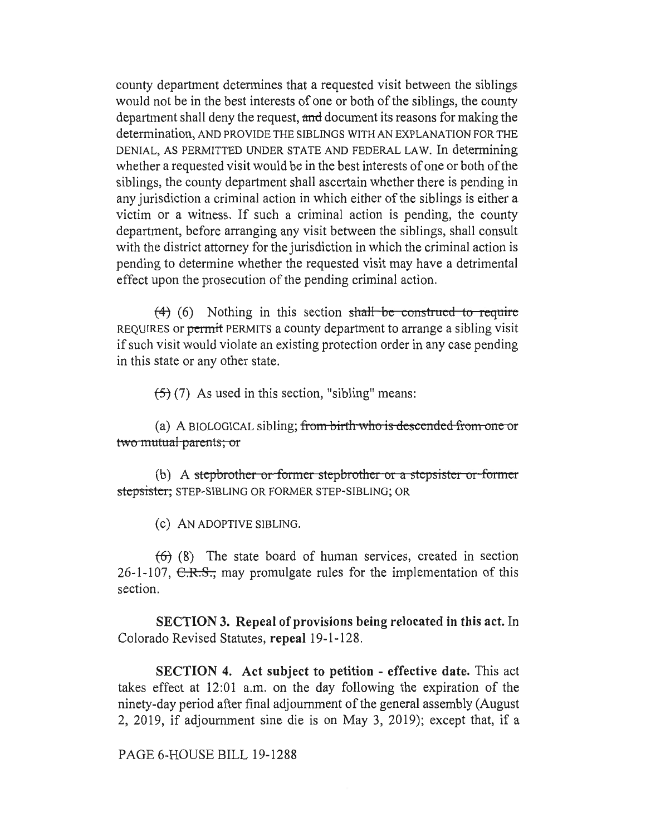county department determines that a requested visit between the siblings would not be in the best interests of one or both of the siblings, the county department shall deny the request, and document its reasons for making the determination, AND PROVIDE THE SIBLINGS WITH AN EXPLANATION FOR THE DENIAL, AS PERMITTED UNDER STATE AND FEDERAL LAW. In determining whether a requested visit would be in the best interests of one or both of the siblings, the county department shall ascertain whether there is pending in any jurisdiction a criminal action in which either of the siblings is either a victim or a witness. If such a criminal action is pending, the county department, before arranging any visit between the siblings, shall consult with the district attorney for the jurisdiction in which the criminal action is pending to determine whether the requested visit may have a detrimental effect upon the prosecution of the pending criminal action.

 $(4)$  (6) Nothing in this section shall—be—construed—to—require REQUIRES or permit PERMITS a county department to arrange a sibling visit if such visit would violate an existing protection order in any case pending in this state or any other state.

 $(5)(7)$  As used in this section, "sibling" means:

(a) A BIOLOGICAL sibling; <del>from birth who is descended from one or</del> two mutual parents; or

(b) A stepbrother or former stepbrother or a stepsister or form stepsister; STEP-SIBLING OR FORMER STEP-SIBLING; OR

(C) AN ADOPTIVE SIBLING.

 $(6)$  (8) The state board of human services, created in section 26-1-107,  $C.R.S.,$  may promulgate rules for the implementation of this section.

**SECTION 3. Repeal of provisions being relocated in this act.** In Colorado Revised Statutes, **repeal** 19-1-128.

**SECTION 4. Act subject to petition - effective date.** This act takes effect at 12:01 a.m. on the day following the expiration of the ninety-day period after final adjournment of the general assembly (August 2, 2019, if adjournment sine die is on May 3, 2019); except that, if a

## PAGE 6-HOUSE BILL 19-1288